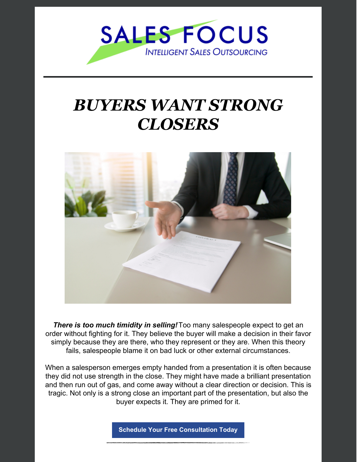

#### *BUYERS WANT STRONG CLOSERS*



*There is too much timidity in selling!*Too many salespeople expect to get an order without fighting for it. They believe the buyer will make a decision in their favor simply because they are there, who they represent or they are. When this theory fails, salespeople blame it on bad luck or other external circumstances.

When a salesperson emerges empty handed from a presentation it is often because they did not use strength in the close. They might have made a brilliant presentation and then run out of gas, and come away without a clear direction or decision. This is tragic. Not only is a strong close an important part of the presentation, but also the buyer expects it. They are primed for it.

**Schedule Your Free [Consultation](https://www.salesfocusinc.com/contact-us/) Today**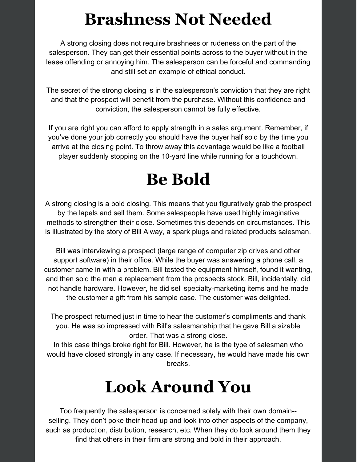#### **Brashness Not Needed**

A strong closing does not require brashness or rudeness on the part of the salesperson. They can get their essential points across to the buyer without in the lease offending or annoying him. The salesperson can be forceful and commanding and still set an example of ethical conduct.

The secret of the strong closing is in the salesperson's conviction that they are right and that the prospect will benefit from the purchase. Without this confidence and conviction, the salesperson cannot be fully effective.

If you are right you can afford to apply strength in a sales argument. Remember, if you've done your job correctly you should have the buyer half sold by the time you arrive at the closing point. To throw away this advantage would be like a football player suddenly stopping on the 10-yard line while running for a touchdown.

## **Be Bold**

A strong closing is a bold closing. This means that you figuratively grab the prospect by the lapels and sell them. Some salespeople have used highly imaginative methods to strengthen their close. Sometimes this depends on circumstances. This is illustrated by the story of Bill Alway, a spark plugs and related products salesman.

Bill was interviewing a prospect (large range of computer zip drives and other support software) in their office. While the buyer was answering a phone call, a customer came in with a problem. Bill tested the equipment himself, found it wanting, and then sold the man a replacement from the prospects stock. Bill, incidentally, did not handle hardware. However, he did sell specialty-marketing items and he made the customer a gift from his sample case. The customer was delighted.

The prospect returned just in time to hear the customer's compliments and thank you. He was so impressed with Bill's salesmanship that he gave Bill a sizable order. That was a strong close.

In this case things broke right for Bill. However, he is the type of salesman who would have closed strongly in any case. If necessary, he would have made his own breaks.

## **Look Around You**

Too frequently the salesperson is concerned solely with their own domain- selling. They don't poke their head up and look into other aspects of the company, such as production, distribution, research, etc. When they do look around them they find that others in their firm are strong and bold in their approach.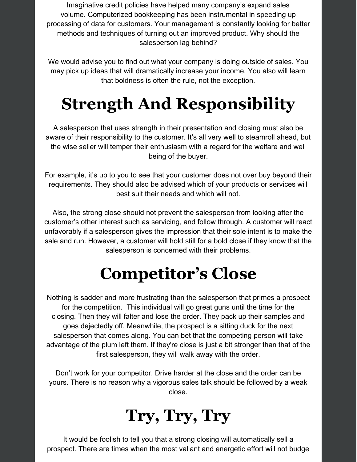Imaginative credit policies have helped many company's expand sales volume. Computerized bookkeeping has been instrumental in speeding up processing of data for customers. Your management is constantly looking for better methods and techniques of turning out an improved product. Why should the salesperson lag behind?

We would advise you to find out what your company is doing outside of sales. You may pick up ideas that will dramatically increase your income. You also will learn that boldness is often the rule, not the exception.

# **Strength And Responsibility**

A salesperson that uses strength in their presentation and closing must also be aware of their responsibility to the customer. It's all very well to steamroll ahead, but the wise seller will temper their enthusiasm with a regard for the welfare and well being of the buyer.

For example, it's up to you to see that your customer does not over buy beyond their requirements. They should also be advised which of your products or services will best suit their needs and which will not.

Also, the strong close should not prevent the salesperson from looking after the customer's other interest such as servicing, and follow through. A customer will react unfavorably if a salesperson gives the impression that their sole intent is to make the sale and run. However, a customer will hold still for a bold close if they know that the salesperson is concerned with their problems.

## **Competitor's Close**

Nothing is sadder and more frustrating than the salesperson that primes a prospect for the competition. This individual will go great guns until the time for the closing. Then they will falter and lose the order. They pack up their samples and goes dejectedly off. Meanwhile, the prospect is a sitting duck for the next salesperson that comes along. You can bet that the competing person will take advantage of the plum left them. If they're close is just a bit stronger than that of the first salesperson, they will walk away with the order.

Don't work for your competitor. Drive harder at the close and the order can be yours. There is no reason why a vigorous sales talk should be followed by a weak close.

# **Try, Try, Try**

It would be foolish to tell you that a strong closing will automatically sell a prospect. There are times when the most valiant and energetic effort will not budge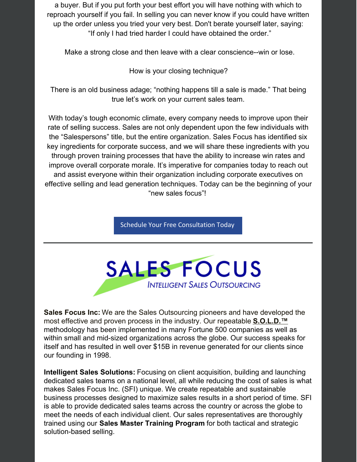a buyer. But if you put forth your best effort you will have nothing with which to reproach yourself if you fail. In selling you can never know if you could have written up the order unless you tried your very best. Don't berate yourself later, saying: "If only I had tried harder I could have obtained the order."

Make a strong close and then leave with a clear conscience--win or lose.

How is your closing technique?

There is an old business adage; "nothing happens till a sale is made." That being true let's work on your current sales team.

With today's tough economic climate, every company needs to improve upon their rate of selling success. Sales are not only dependent upon the few individuals with the "Salespersons" title, but the entire organization. Sales Focus has identified six key ingredients for corporate success, and we will share these ingredients with you through proven training processes that have the ability to increase win rates and improve overall corporate morale. It's imperative for companies today to reach out and assist everyone within their organization including corporate executives on effective selling and lead generation techniques. Today can be the beginning of your "new sales focus"!

Schedule Your Free [Consultation](https://www.salesfocusinc.com/contact-us/) Today



**Sales Focus Inc:** We are the Sales Outsourcing pioneers and have developed the most effective and proven process in the industry. Our repeatable **S.O.L.D.™** methodology has been implemented in many Fortune 500 companies as well as within small and mid-sized organizations across the globe. Our success speaks for itself and has resulted in well over \$15B in revenue generated for our clients since our founding in 1998.

**Intelligent Sales Solutions:** Focusing on client acquisition, building and launching dedicated sales teams on a national level, all while reducing the cost of sales is what makes Sales Focus Inc. (SFI) unique. We create repeatable and sustainable business processes designed to maximize sales results in a short period of time. SFI is able to provide dedicated sales teams across the country or across the globe to meet the needs of each individual client. Our sales representatives are thoroughly trained using our **Sales Master Training Program** for both tactical and strategic solution-based selling.